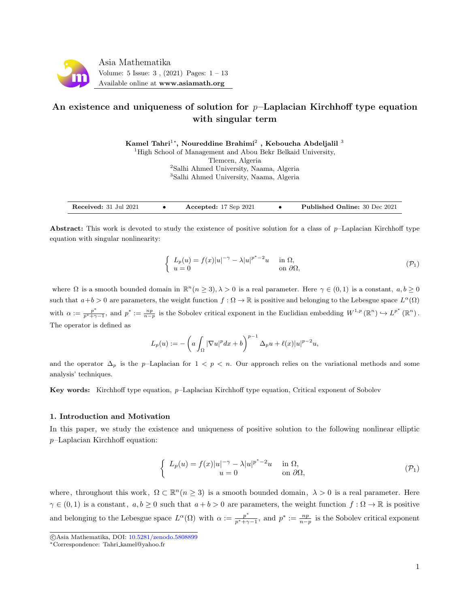<span id="page-0-0"></span>

# An existence and uniqueness of solution for  $p$ -Laplacian Kirchhoff type equation with singular term

Kamel Tahri $^{1*}$ , Noureddine Brahimi $^{2}$  , Keboucha Abdeljalil  $^{3}$ 

<sup>1</sup>High School of Management and Abou Bekr Belkaid University,

Tlemcen, Algeria

<sup>2</sup>Salhi Ahmed University, Naama, Algeria

<sup>3</sup>Salhi Ahmed University, Naama, Algeria

Received: 31 Jul 2021 • Accepted: 17 Sep 2021 • Published Online: 30 Dec 2021

Abstract: This work is devoted to study the existence of positive solution for a class of  $p$ –Laplacian Kirchhoff type equation with singular nonlinearity:

$$
\begin{cases}\nL_p(u) = f(x)|u|^{-\gamma} - \lambda |u|^{p^*-2}u & \text{in } \Omega, \\
u = 0 & \text{on } \partial\Omega,\n\end{cases} \tag{P_1}
$$

where  $\Omega$  is a smooth bounded domain in  $\mathbb{R}^n$  ( $n \geq 3$ ),  $\lambda > 0$  is a real parameter. Here  $\gamma \in (0,1)$  is a constant,  $a, b \geq 0$ such that  $a+b>0$  are parameters, the weight function  $f: \Omega \to \mathbb{R}$  is positive and belonging to the Lebesgue space  $L^{\alpha}(\Omega)$ with  $\alpha := \frac{p^*}{p^* + \gamma - 1}$ , and  $p^* := \frac{np}{n-p}$  is the Sobolev critical exponent in the Euclidian embedding  $W^{1,p}(\mathbb{R}^n) \hookrightarrow L^{p^*}(\mathbb{R}^n)$ . The operator is defined as

$$
L_p(u) := -\left(a\int_{\Omega} |\nabla u|^p dx + b\right)^{p-1} \Delta_p u + \ell(x)|u|^{p-2}u,
$$

and the operator  $\Delta_p$  is the p–Laplacian for  $1 < p < n$ . Our approach relies on the variational methods and some analysis' techniques.

Key words: Kirchhoff type equation, p–Laplacian Kirchhoff type equation, Critical exponent of Sobolev

#### 1. Introduction and Motivation

In this paper, we study the existence and uniqueness of positive solution to the following nonlinear elliptic p–Laplacian Kirchhoff equation:

$$
\begin{cases}\nL_p(u) = f(x)|u|^{-\gamma} - \lambda |u|^{p^*-2}u & \text{in } \Omega, \\
u = 0 & \text{on } \partial\Omega,\n\end{cases} \tag{P_1}
$$

where, throughout this work,  $\Omega \subset \mathbb{R}^n (n \geq 3)$  is a smooth bounded domain,  $\lambda > 0$  is a real parameter. Here  $\gamma \in (0,1)$  is a constant,  $a, b \ge 0$  such that  $a + b > 0$  are parameters, the weight function  $f : \Omega \to \mathbb{R}$  is positive and belonging to the Lebesgue space  $L^{\alpha}(\Omega)$  with  $\alpha := \frac{p^*}{n^* + \infty}$  $\frac{p^*}{p^*+\gamma-1}$ , and  $p^* := \frac{np}{n-p}$  is the Sobolev critical exponent

c Asia Mathematika, DOI: [10.5281/zenodo.5808899](http://www.asiamath.org/article/vol5iss3/AM-2108-5220.pdf)

<sup>∗</sup>Correspondence: Tahri kamel@yahoo.fr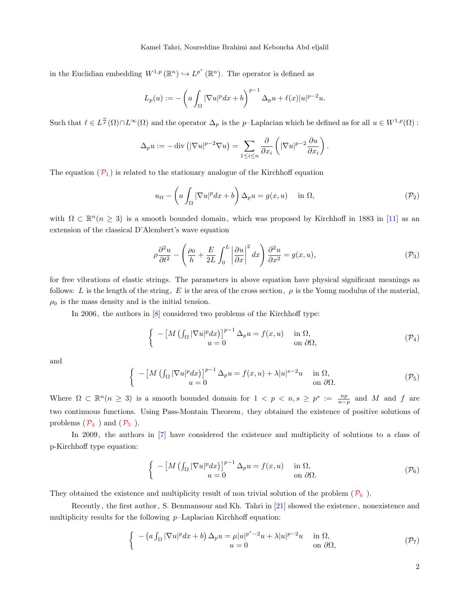in the Euclidian embedding  $W^{1,p}(\mathbb{R}^n) \hookrightarrow L^{p^*}(\mathbb{R}^n)$ . The operator is defined as

$$
L_p(u) := -\left(a\int_{\Omega} |\nabla u|^p dx + b\right)^{p-1} \Delta_p u + \ell(x)|u|^{p-2}u.
$$

Such that  $\ell \in L^{\frac{n}{p}}(\Omega) \cap L^{\infty}(\Omega)$  and the operator  $\Delta_p$  is the p-Laplacian which be defined as for all  $u \in W^{1,p}(\Omega)$ :

$$
\Delta_p u := -\operatorname{div} \left( |\nabla u|^{p-2} \nabla u \right) = \sum_{1 \leq i \leq n} \frac{\partial}{\partial x_i} \left( |\nabla u|^{p-2} \frac{\partial u}{\partial x_i} \right).
$$

The equation  $(\mathcal{P}_1)$  $(\mathcal{P}_1)$  $(\mathcal{P}_1)$  is related to the stationary analogue of the Kirchhoff equation

<span id="page-1-0"></span>
$$
u_{tt} - \left(a\int_{\Omega} |\nabla u|^p dx + b\right) \Delta_p u = g(x, u) \quad \text{in } \Omega,
$$
\n
$$
(P_2)
$$

with  $\Omega \subset \mathbb{R}^n (n \geq 3)$  is a smooth bounded domain, which was proposed by Kirchhoff in 1883 in [\[11\]](#page-11-0) as an extension of the classical D'Alembert's wave equation

$$
\rho \frac{\partial^2 u}{\partial t^2} - \left(\frac{\rho_0}{h} + \frac{E}{2L} \int_0^L \left| \frac{\partial u}{\partial x} \right|^2 dx\right) \frac{\partial^2 u}{\partial x^2} = g(x, u),\tag{P_3}
$$

for free vibrations of elastic strings. The parameters in above equation have physical significant meanings as follows: L is the length of the string, E is the area of the cross section,  $\rho$  is the Young modulus of the material,  $\rho_0$  is the mass density and is the initial tension.

In 2006, the authors in [\[8\]](#page-11-1) considered two problems of the Kirchhoff type:

$$
\begin{cases}\n-\left[M\left(\int_{\Omega}|\nabla u|^p dx\right)\right]^{p-1}\Delta_p u = f(x,u) & \text{in } \Omega, \\
u = 0 & \text{on } \partial\Omega,\n\end{cases} \tag{P_4}
$$

and

$$
\begin{cases}\n- \left[ M \left( \int_{\Omega} |\nabla u|^p dx \right) \right]^{p-1} \Delta_p u = f(x, u) + \lambda |u|^{s-2} u & \text{in } \Omega, \\
u = 0 & \text{on } \partial \Omega.\n\end{cases} \tag{P_5}
$$

Where  $\Omega \subset \mathbb{R}^n (n \geq 3)$  is a smooth bounded domain for  $1 < p < n, s \geq p^* := \frac{np}{n-p}$  and M and f are two continuous functions. Using Pass-Montain Theorem, they obtained the existence of positive solutions of problems  $(\mathcal{P}_4)$  $(\mathcal{P}_4)$  $(\mathcal{P}_4)$  and  $(\mathcal{P}_5)$ .

In 2009, the authors in [\[7\]](#page-11-2) have considered the existence and multiplicity of solutions to a class of p-Kirchhoff type equation:

$$
\begin{cases}\n-\left[M\left(\int_{\Omega}|\nabla u|^p dx\right)\right]^{p-1}\Delta_p u = f(x,u) & \text{in } \Omega, \\
u = 0 & \text{on } \partial\Omega.\n\end{cases} \tag{P6}
$$

They obtained the existence and multiplicity result of non trivial solution of the problem  $(\mathcal{P}_6)$  $(\mathcal{P}_6)$  $(\mathcal{P}_6)$ .

Recently, the first author, S. Benmansour and Kh. Tahri in [\[21\]](#page-12-0) showed the existence , nonexistence and multiplicity results for the following  $p$ -Laplacian Kirchhoff equation:

$$
\begin{cases}\n-(a\int_{\Omega}|\nabla u|^p dx + b) \Delta_p u = \mu |u|^{p^*-2}u + \lambda |u|^{p-2}u & \text{in } \Omega, \\
u = 0 & \text{on } \partial\Omega,\n\end{cases} \tag{P7}
$$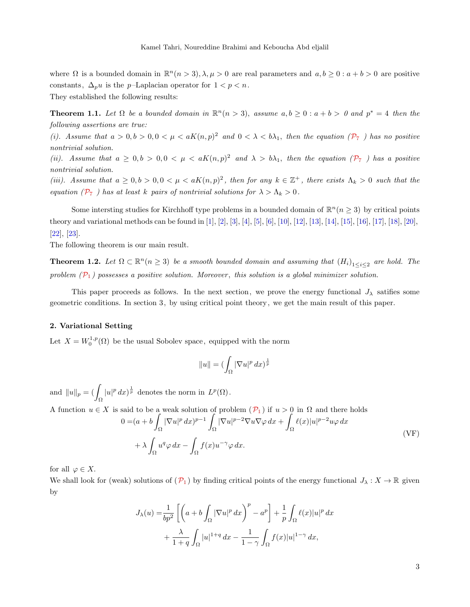where  $\Omega$  is a bounded domain in  $\mathbb{R}^n(n>3), \lambda, \mu > 0$  are real parameters and  $a, b \geq 0 : a + b > 0$  are positive constants,  $\Delta_p u$  is the *p*–Laplacian operator for  $1 < p < n$ . They established the following results:

**Theorem 1.1.** Let  $\Omega$  be a bounded domain in  $\mathbb{R}^n(n > 3)$ , assume  $a, b \geq 0 : a + b > 0$  and  $p^* = 4$  then the following assertions are true:

(i). Assume that  $a > 0, b > 0, 0 < \mu < aK(n, p)^2$  and  $0 < \lambda < b\lambda_1$ , then the equation  $(\mathcal{P}_7)$  $(\mathcal{P}_7)$  $(\mathcal{P}_7)$  has no positive nontrivial solution.

(ii). Assume that  $a \geq 0, b > 0, 0 < \mu < aK(n, p)^2$  and  $\lambda > b\lambda_1$ , then the equation  $(\mathcal{P}_7)$  $(\mathcal{P}_7)$  $(\mathcal{P}_7)$  has a positive nontrivial solution.

(iii). Assume that  $a \geq 0, b > 0, 0 < \mu < aK(n, p)^2$ , then for any  $k \in \mathbb{Z}^+$ , there exists  $\Lambda_k > 0$  such that the equation ( $\mathcal{P}_7$  $\mathcal{P}_7$  $\mathcal{P}_7$ ) has at least k pairs of nontrivial solutions for  $\lambda > \Lambda_k > 0$ .

Some intersting studies for Kirchhoff type problems in a bounded domain of  $\mathbb{R}^n$  ( $n \geq 3$ ) by critical points theory and variational methods can be found in [\[1\]](#page-11-3), [\[2\]](#page-11-4), [\[3\]](#page-11-5), [\[4\]](#page-11-6), [\[5\]](#page-11-7), [\[6\]](#page-11-8), [\[10\]](#page-11-9), [\[12\]](#page-11-10), [\[13\]](#page-11-11), [\[14\]](#page-11-12), [\[15\]](#page-11-13), [\[16\]](#page-12-1), [\[17\]](#page-12-2), [\[18\]](#page-12-3), [\[20\]](#page-12-4), [\[22\]](#page-12-5), [\[23\]](#page-12-6).

The following theorem is our main result.

<span id="page-2-1"></span>**Theorem 1.2.** Let  $\Omega \subset \mathbb{R}^n$  ( $n \geq 3$ ) be a smooth bounded domain and assuming that  $(H_i)_{1 \leq i \leq 2}$  are hold. The problem  $(\mathcal{P}_1)$  $(\mathcal{P}_1)$  $(\mathcal{P}_1)$  possesses a positive solution. Moreover, this solution is a global minimizer solution.

This paper proceeds as follows. In the next section, we prove the energy functional  $J_{\lambda}$  satifies some geometric conditions. In section 3, by using critical point theory, we get the main result of this paper.

### 2. Variational Setting

Let  $X = W_0^{1,p}(\Omega)$  be the usual Sobolev space, equipped with the norm

$$
||u|| = (\int_{\Omega} |\nabla u|^p \, dx)^{\frac{1}{p}}
$$

and  $||u||_p = (\int_{\Omega}$  $|u|^p dx$  denotes the norm in  $L^p(\Omega)$ .

<span id="page-2-0"></span>A function  $u \in X$  is said to be a weak solution of problem  $(\mathcal{P}_1)$  $(\mathcal{P}_1)$  $(\mathcal{P}_1)$  if  $u > 0$  in  $\Omega$  and there holds

$$
0 = (a + b \int_{\Omega} |\nabla u|^p dx)^{p-1} \int_{\Omega} |\nabla u|^{p-2} \nabla u \nabla \varphi dx + \int_{\Omega} \ell(x) |u|^{p-2} u \varphi dx
$$
  
+  $\lambda \int_{\Omega} u^q \varphi dx - \int_{\Omega} f(x) u^{-\gamma} \varphi dx.$  (VF)

for all  $\varphi \in X$ .

We shall look for (weak) solutions of  $(\mathcal{P}_1)$  $(\mathcal{P}_1)$  $(\mathcal{P}_1)$  by finding critical points of the energy functional  $J_\lambda : X \to \mathbb{R}$  given by

$$
J_{\lambda}(u) = \frac{1}{bp^2} \left[ \left( a + b \int_{\Omega} |\nabla u|^p dx \right)^p - a^p \right] + \frac{1}{p} \int_{\Omega} \ell(x) |u|^p dx
$$
  
+ 
$$
\frac{\lambda}{1+q} \int_{\Omega} |u|^{1+q} dx - \frac{1}{1-\gamma} \int_{\Omega} f(x) |u|^{1-\gamma} dx,
$$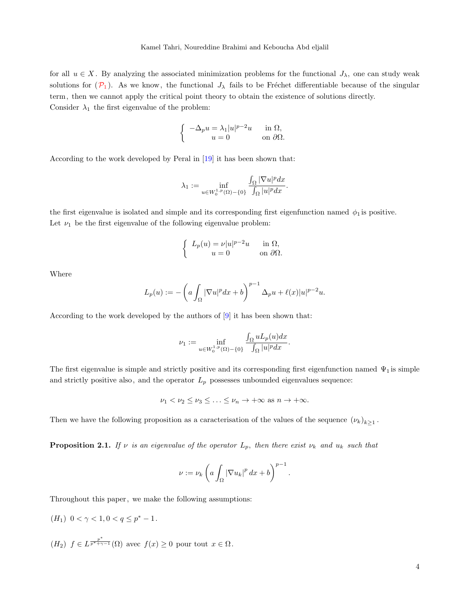for all  $u \in X$ . By analyzing the associated minimization problems for the functional  $J_{\lambda}$ , one can study weak solutions for  $(\mathcal{P}_1)$  $(\mathcal{P}_1)$  $(\mathcal{P}_1)$ . As we know, the functional  $J_\lambda$  fails to be Fréchet differentiable because of the singular term, then we cannot apply the critical point theory to obtain the existence of solutions directly. Consider  $\lambda_1$  the first eigenvalue of the problem:

$$
\begin{cases}\n-\Delta_p u = \lambda_1 |u|^{p-2} u & \text{in } \Omega, \\
u = 0 & \text{on } \partial\Omega.\n\end{cases}
$$

According to the work developed by Peral in [\[19\]](#page-12-7) it has been shown that:

$$
\lambda_1 := \inf_{u \in W_0^{1,p}(\Omega) - \{0\}} \frac{\int_{\Omega} |\nabla u|^p dx}{\int_{\Omega} |u|^p dx}
$$

.

the first eigenvalue is isolated and simple and its corresponding first eigenfunction named  $\phi_1$  is positive. Let  $\nu_1$  be the first eigenvalue of the following eigenvalue problem:

$$
\begin{cases} L_p(u) = \nu |u|^{p-2}u & \text{in } \Omega, \\ u = 0 & \text{on } \partial\Omega. \end{cases}
$$

Where

$$
L_p(u) := -\left(a\int_{\Omega} |\nabla u|^p dx + b\right)^{p-1} \Delta_p u + \ell(x)|u|^{p-2}u.
$$

According to the work developed by the authors of [\[9\]](#page-11-14) it has been shown that:

$$
\nu_1 := \inf_{u \in W_0^{1,p}(\Omega) - \{0\}} \frac{\int_{\Omega} u L_p(u) dx}{\int_{\Omega} |u|^p dx}.
$$

The first eigenvalue is simple and strictly positive and its corresponding first eigenfunction named  $\Psi_1$  is simple and strictly positive also, and the operator  $L_p$  possesses unbounded eigenvalues sequence:

$$
\nu_1 < \nu_2 \leq \nu_3 \leq \ldots \leq \nu_n \to +\infty \text{ as } n \to +\infty.
$$

Then we have the following proposition as a caracterisation of the values of the sequence  $(\nu_k)_{k\geq 1}$ .

**Proposition 2.1.** If  $\nu$  is an eigenvalue of the operator  $L_p$ , then there exist  $\nu_k$  and  $u_k$  such that

$$
\nu := \nu_k \left( a \int_{\Omega} |\nabla u_k|^p \, dx + b \right)^{p-1}.
$$

Throughout this paper, we make the following assumptions:

- $(H_1) \ \ 0 < \gamma < 1, 0 < q \le p^* 1.$
- $(H_2)$   $f \in L^{\frac{p^*}{p^*+\gamma-1}}(\Omega)$  avec  $f(x) \geq 0$  pour tout  $x \in \Omega$ .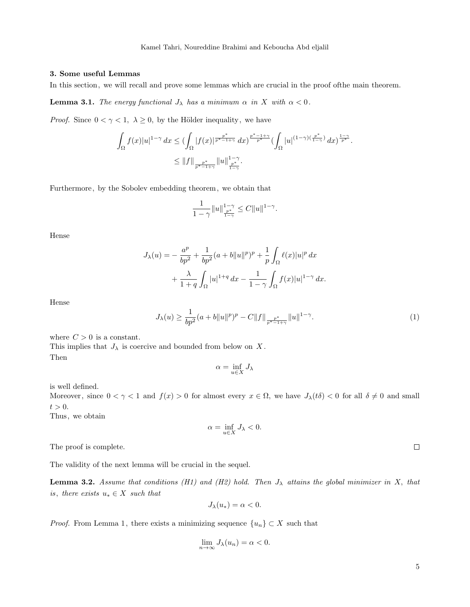## 3. Some useful Lemmas

In this section, we will recall and prove some lemmas which are crucial in the proof ofthe main theorem.

**Lemma 3.1.** The energy functional  $J_{\lambda}$  has a minimum  $\alpha$  in X with  $\alpha < 0$ .

*Proof.* Since  $0 < \gamma < 1$ ,  $\lambda \geq 0$ , by the Hölder inequality, we have

$$
\int_{\Omega} f(x)|u|^{1-\gamma} dx \leq \left(\int_{\Omega} |f(x)|^{\frac{p^*}{p^*-1+\gamma}} dx\right)^{\frac{p^*-1+\gamma}{p^*}} \left(\int_{\Omega} |u|^{(1-\gamma)(\frac{p^*}{1-\gamma})} dx\right)^{\frac{1-\gamma}{p^*}}.
$$
  

$$
\leq ||f||_{\frac{p^*}{p^*-1+\gamma}} ||u||_{\frac{p^*}{1-\gamma}}^{1-\gamma}.
$$

Furthermore, by the Sobolev embedding theorem, we obtain that

$$
\frac{1}{1-\gamma}\|u\|_{\frac{p^*}{1-\gamma}}^{1-\gamma}\leq C\|u\|^{1-\gamma}.
$$

Hense

$$
J_{\lambda}(u) = -\frac{a^p}{bp^2} + \frac{1}{bp^2}(a+b||u||^p)^p + \frac{1}{p}\int_{\Omega} \ell(x)|u|^p dx + \frac{\lambda}{1+q}\int_{\Omega} |u|^{1+q} dx - \frac{1}{1-\gamma}\int_{\Omega} f(x)|u|^{1-\gamma} dx.
$$

<span id="page-4-0"></span>Hense

$$
J_{\lambda}(u) \ge \frac{1}{bp^2}(a+b\|u\|^p)^p - C\|f\|_{\frac{p^*}{p^*-1+\gamma}}\|u\|^{1-\gamma}.
$$
 (1)

where  $C > 0$  is a constant.

This implies that  $J_{\lambda}$  is coercive and bounded from below on X. Then

$$
\alpha = \inf_{u \in X} J_{\lambda}
$$

is well defined.

Moreover, since  $0 < \gamma < 1$  and  $f(x) > 0$  for almost every  $x \in \Omega$ , we have  $J_{\lambda}(t\delta) < 0$  for all  $\delta \neq 0$  and small  $t > 0$ .

Thus, we obtain

$$
\alpha = \inf_{u \in X} J_{\lambda} < 0.
$$

The proof is complete.

The validity of the next lemma will be crucial in the sequel.

**Lemma 3.2.** Assume that conditions (H1) and (H2) hold. Then  $J_{\lambda}$  attains the global minimizer in X, that is, there exists  $u_* \in X$  such that

$$
J_{\lambda}(u_{*}) = \alpha < 0.
$$

*Proof.* From Lemma 1, there exists a minimizing sequence  $\{u_n\} \subset X$  such that

$$
\lim_{n \to \infty} J_{\lambda}(u_n) = \alpha < 0.
$$

 $\Box$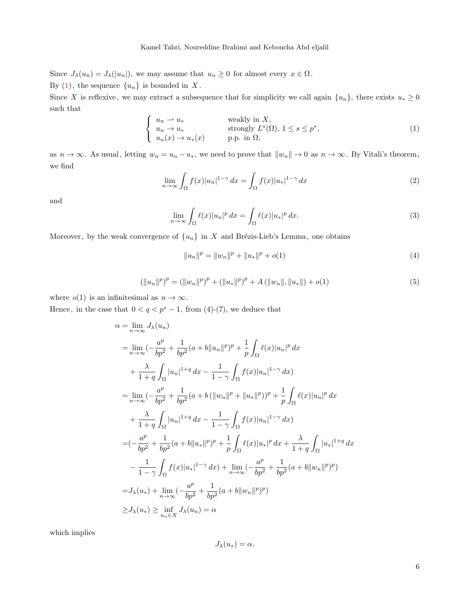Since  $J_{\lambda}(u_n) = J_{\lambda}(|u_n|)$ , we may assume that  $u_n \geq 0$  for almost every  $x \in \Omega$ . By  $(1)$ , the sequence  $\{u_n\}$  is bounded in X.

Since X is reflexive, we may extract a subsequence that for simplicity we call again  $\{u_n\}$ , there exists  $u_* \geq 0$ such that

$$
\begin{cases}\n u_n \rightharpoonup u_* & \text{weakly in } X, \\
 u_n \to u_* & \text{strongly } L^s(\Omega), \ 1 \le s \le p^*, \\
 u_n(x) \to u_*(x) & \text{p.p. in } \Omega,\n\end{cases}\n\tag{1}
$$

as  $n \to \infty$ . As usual, letting  $w_n = u_n - u_*$ , we need to prove that  $||w_n|| \to 0$  as  $n \to \infty$ . By Vitali's theorem, we find

$$
\lim_{n \to \infty} \int_{\Omega} f(x)|u_n|^{1-\gamma} dx = \int_{\Omega} f(x)|u_*|^{1-\gamma} dx \tag{2}
$$

and

$$
\lim_{n \to \infty} \int_{\Omega} \ell(x) |u_n|^p dx = \int_{\Omega} \ell(x) |u_*|^p dx.
$$
\n(3)

Moreover, by the weak convergence of  $\{u_n\}$  in X and Brézis-Lieb's Lemma, one obtains

$$
||u_n||^p = ||w_n||^p + ||u_*||^p + o(1)
$$
\n(4)

$$
(\|u_n\|^p)^p = (\|w_n\|^p)^p + (\|u_*\|^p)^p + A(\|w_n\|, \|u_*\|) + o(1)
$$
\n(5)

where  $o(1)$  is an infinitesimal as  $n \to \infty$ .

Hence, in the case that  $0 < q < p^* - 1$ , from (4)-(7), we deduce that

$$
\alpha = \lim_{n \to \infty} J_{\lambda}(u_{n})
$$
\n
$$
= \lim_{n \to \infty} (-\frac{a^{p}}{bp^{2}} + \frac{1}{bp^{2}}(a+b||u_{n}||^{p})^{p} + \frac{1}{p} \int_{\Omega} \ell(x)|u_{n}|^{p} dx
$$
\n
$$
+ \frac{\lambda}{1+q} \int_{\Omega} |u_{n}|^{1+q} dx - \frac{1}{1-\gamma} \int_{\Omega} f(x)|u_{n}|^{1-\gamma} dx
$$
\n
$$
= \lim_{n \to \infty} (-\frac{a^{p}}{bp^{2}} + \frac{1}{bp^{2}}(a+b(||w_{n}||^{p} + ||u_{*}||^{p}))^{p} + \frac{1}{p} \int_{\Omega} \ell(x)|u_{n}|^{p} dx
$$
\n
$$
+ \frac{\lambda}{1+q} \int_{\Omega} |u_{n}|^{1+q} dx - \frac{1}{1-\gamma} \int_{\Omega} f(x)|u_{n}|^{1-\gamma} dx
$$
\n
$$
= (-\frac{a^{p}}{bp^{2}} + \frac{1}{bp^{2}}(a+b||u_{*}||^{p})^{p} + \frac{1}{p} \int_{\Omega} \ell(x)|u_{*}|^{p} dx + \frac{\lambda}{1+q} \int_{\Omega} |u_{*}|^{1+q} dx
$$
\n
$$
- \frac{1}{1-\gamma} \int_{\Omega} f(x)|u_{*}|^{1-\gamma} dx + \lim_{n \to \infty} (-\frac{a^{p}}{bp^{2}} + \frac{1}{bp^{2}}(a+b||w_{n}||^{p})^{p})
$$
\n
$$
= J_{\lambda}(u_{*}) + \lim_{n \to \infty} (-\frac{a^{p}}{bp^{2}} + \frac{1}{bp^{2}}(a+b||w_{n}||^{p})^{p})
$$
\n
$$
\geq J_{\lambda}(u_{*}) \geq \inf_{u_{n} \in X} J_{\lambda}(u_{n}) = \alpha
$$

which implies

$$
J_{\lambda}(u_{*})=\alpha.
$$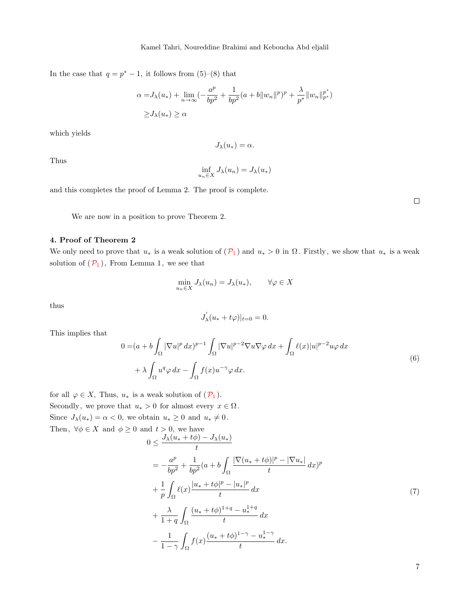In the case that  $q = p^* - 1$ , it follows from (5)–(8) that

$$
\alpha = J_{\lambda}(u_{*}) + \lim_{n \to \infty} \left( -\frac{a^{p}}{bp^{2}} + \frac{1}{bp^{2}} (a+b \|w_{n}\|^{p})^{p} + \frac{\lambda}{p^{*}} \|w_{n}\|_{p^{*}}^{p^{*}} \right)
$$
  
 
$$
\geq J_{\lambda}(u_{*}) \geq \alpha
$$

which yields

$$
J_{\lambda}(u_{*})=\alpha.
$$

Thus

$$
\inf_{u_n \in X} J_{\lambda}(u_n) = J_{\lambda}(u_*)
$$

and this completes the proof of Lemma 2. The proof is complete.

 $\Box$ 

We are now in a position to prove Theorem 2.

# 4. Proof of Theorem 2

We only need to prove that  $u_*$  is a weak solution of  $(\mathcal{P}_1)$  $(\mathcal{P}_1)$  $(\mathcal{P}_1)$  and  $u_* > 0$  in  $\Omega$ . Firstly, we show that  $u_*$  is a weak solution of  $(\mathcal{P}_1)$  $(\mathcal{P}_1)$  $(\mathcal{P}_1)$ , From Lemma 1, we see that

$$
\min_{u_n \in X} J_{\lambda}(u_n) = J_{\lambda}(u_*)
$$
\n
$$
\forall \varphi \in X
$$

thus

$$
J_\lambda^{'}(u_*+t\varphi)|_{t=0}=0.
$$

<span id="page-6-1"></span>This implies that

$$
0 = (a + b \int_{\Omega} |\nabla u|^p dx)^{p-1} \int_{\Omega} |\nabla u|^{p-2} \nabla u \nabla \varphi dx + \int_{\Omega} \ell(x) |u|^{p-2} u \varphi dx + \lambda \int_{\Omega} u^q \varphi dx - \int_{\Omega} f(x) u^{-\gamma} \varphi dx.
$$
\n(6)

<span id="page-6-0"></span>for all  $\varphi \in X$ , Thus,  $u_*$  is a weak solution of  $(\mathcal{P}_1)$  $(\mathcal{P}_1)$  $(\mathcal{P}_1)$ . Secondly, we prove that  $u_* > 0$  for almost every  $x \in \Omega$ . Since  $J_{\lambda}(u_{*}) = \alpha < 0$ , we obtain  $u_{*} \geq 0$  and  $u_{*} \neq 0$ . Then,  $\forall \phi \in X$  and  $\phi \geq 0$  and  $t > 0$ , we have

$$
0 \leq \frac{J_{\lambda}(u_{*} + t\phi) - J_{\lambda}(u_{*})}{t}
$$
  
=  $-\frac{a^{p}}{bp^{2}} + \frac{1}{bp^{2}}(a + b \int_{\Omega} \frac{|\nabla(u_{*} + t\phi)|^{p} - |\nabla u_{*}|}{t} dx)^{p}$   
+  $\frac{1}{p} \int_{\Omega} \ell(x) \frac{|u_{*} + t\phi|^{p} - |u_{*}|^{p}}{t} dx$   
+  $\frac{\lambda}{1 + q} \int_{\Omega} \frac{(u_{*} + t\phi)^{1+q} - u_{*}^{1+q}}{t} dx$   
-  $\frac{1}{1 - \gamma} \int_{\Omega} f(x) \frac{(u_{*} + t\phi)^{1-\gamma} - u_{*}^{1-\gamma}}{t} dx$ . (7)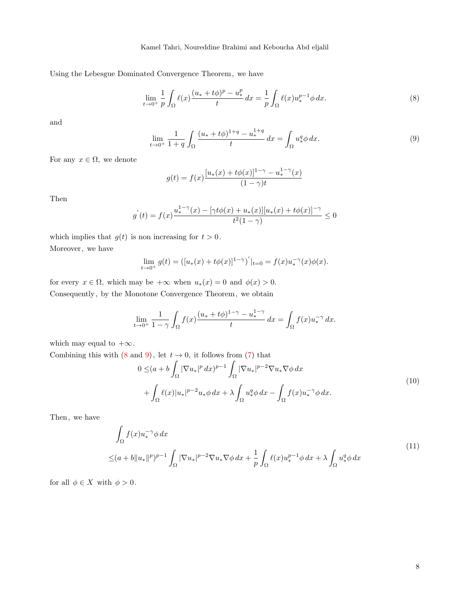Using the Lebesgue Dominated Convergence Theorem, we have

<span id="page-7-0"></span>
$$
\lim_{t \to 0^+} \frac{1}{p} \int_{\Omega} \ell(x) \frac{(u_* + t\phi)^p - u_*^p}{t} dx = \frac{1}{p} \int_{\Omega} \ell(x) u_*^{p-1} \phi \, dx. \tag{8}
$$

<span id="page-7-1"></span>and

$$
\lim_{t \to 0^+} \frac{1}{1+q} \int_{\Omega} \frac{(u_* + t\phi)^{1+q} - u_*^{1+q}}{t} dx = \int_{\Omega} u_*^q \phi \, dx. \tag{9}
$$

For any  $x \in \Omega$ , we denote

$$
g(t) = f(x)\frac{[u_*(x) + t\phi(x)]^{1-\gamma} - u_*^{1-\gamma}(x)}{(1-\gamma)t}
$$

Then

$$
g^{'}(t) = f(x)\frac{u_{*}^{1-\gamma}(x) - [\gamma t \phi(x) + u_{*}(x)][u_{*}(x) + t \phi(x)]^{-\gamma}}{t^{2}(1-\gamma)} \leq 0
$$

which implies that  $g(t)$  is non increasing for  $t > 0$ . Moreover, we have

$$
\lim_{t \to 0^+} g(t) = \left( [u_*(x) + t\phi(x)]^{1-\gamma} \right)'_{t=0} = f(x)u_*^{-\gamma}(x)\phi(x).
$$

for every  $x \in \Omega$ , which may be  $+\infty$  when  $u_*(x) = 0$  and  $\phi(x) > 0$ . Consequently, by the Monotone Convergence Theorem, we obtain

$$
\lim_{t \to 0^+} \frac{1}{1 - \gamma} \int_{\Omega} f(x) \frac{(u_* + t\phi)^{1 - \gamma} - u_*^{1 - \gamma}}{t} dx = \int_{\Omega} f(x) u_*^{-\gamma} dx.
$$

which may equal to  $+\infty$ .

Combining this with  $(8 \text{ and } 9)$  $(8 \text{ and } 9)$  $(8 \text{ and } 9)$ , let  $t \to 0$ , it follows from  $(7)$  that

$$
0 \leq (a+b\int_{\Omega} |\nabla u_*|^p dx)^{p-1} \int_{\Omega} |\nabla u_*|^{p-2} \nabla u_* \nabla \phi dx + \int_{\Omega} \ell(x)|u_*|^{p-2} u_* \phi dx + \lambda \int_{\Omega} u_*^q \phi dx - \int_{\Omega} f(x) u_*^{-\gamma} \phi dx.
$$
 (10)

Then, we have

$$
\int_{\Omega} f(x) u_{*}^{-\gamma} \phi \, dx
$$
\n
$$
\leq (a+b||u_{*}||^{p})^{p-1} \int_{\Omega} |\nabla u_{*}|^{p-2} \nabla u_{*} \nabla \phi \, dx + \frac{1}{p} \int_{\Omega} \ell(x) u_{*}^{p-1} \phi \, dx + \lambda \int_{\Omega} u_{*}^{q} \phi \, dx \tag{11}
$$

for all  $\phi \in X$  with  $\phi > 0$ .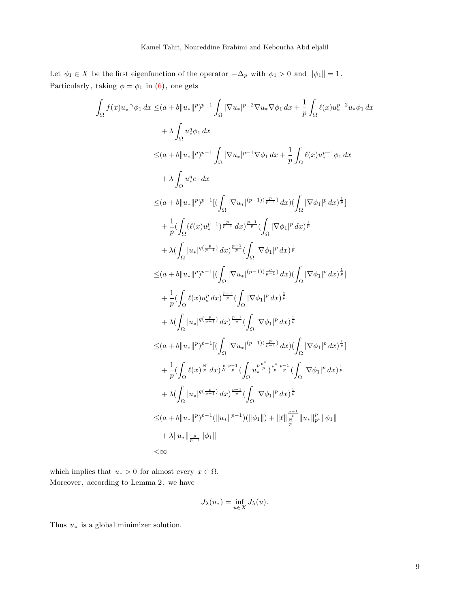Let  $\phi_1 \in X$  be the first eigenfunction of the operator  $-\Delta_p$  with  $\phi_1 > 0$  and  $||\phi_1|| = 1$ . Particularly, taking  $\phi = \phi_1$  in  $(6)$ , one gets

Z

$$
\int_{\Omega} f(x) u_{*}^{-\gamma} \phi_{1} dx \leq (a + b \|u_{*}\|^{p})^{p-1} \int_{\Omega} |\nabla u_{*}|^{p-2} \nabla u_{*} \nabla \phi_{1} dx + \frac{1}{p} \int_{\Omega} \ell(x) u_{*}^{p-2} u_{*} \phi_{1} dx
$$
\n
$$
\leq (a + b \|u_{*}\|^{p})^{p-1} \int_{\Omega} |\nabla u_{*}|^{p-1} \nabla \phi_{1} dx + \frac{1}{p} \int_{\Omega} \ell(x) u_{*}^{p-1} \phi_{1} dx
$$
\n
$$
+ \lambda \int_{\Omega} u_{*}^{q} e_{1} dx
$$
\n
$$
\leq (a + b \|u_{*}\|^{p})^{p-1} [(\int_{\Omega} |\nabla u_{*}|^{(p-1)(\frac{p}{p-1})} dx) (\int_{\Omega} |\nabla \phi_{1}|^{p} dx)^{\frac{1}{p}}]
$$
\n
$$
+ \frac{1}{p} (\int_{\Omega} (\ell(x) u_{*}^{p-1})^{\frac{p}{p-1}} dx)^{\frac{p-1}{p}} (\int_{\Omega} |\nabla \phi_{1}|^{p} dx)^{\frac{1}{p}}
$$
\n
$$
+ \lambda (\int_{\Omega} |u_{*}|^{q(\frac{p}{p-1})} dx)^{\frac{p-1}{p}} (\int_{\Omega} |\nabla \phi_{1}|^{p} dx)^{\frac{1}{p}}
$$
\n
$$
\leq (a + b \|u_{*}\|^{p})^{p-1} [(\int_{\Omega} |\nabla u_{*}|^{(p-1)(\frac{p}{p-1})} dx) (\int_{\Omega} |\nabla \phi_{1}|^{p} dx)^{\frac{1}{p}}]
$$
\n
$$
+ \frac{1}{p} (\int_{\Omega} \ell(x) u_{*}^{p} dx)^{\frac{p-1}{p}} (\int_{\Omega} |\nabla \phi_{1}|^{p} dx)^{\frac{1}{p}}
$$
\n
$$
+ \lambda (\int_{\Omega} |u_{*}|^{q(\frac{p}{p-1})} dx)^{\frac{p-1}{p}} (\int_{\Omega} |\nabla \phi_{1}|^{p} dx)^{\frac{1}{p}}
$$
\n
$$
\leq (a + b \|u_{*}\|^{p})^{p-1} [(\int_{\Omega}
$$

which implies that  $u_* > 0$  for almost every  $x \in \Omega$ . Moreover, according to Lemma 2, we have

$$
J_{\lambda}(u_{*}) = \inf_{u \in X} J_{\lambda}(u).
$$

Thus  $u_*$  is a global minimizer solution.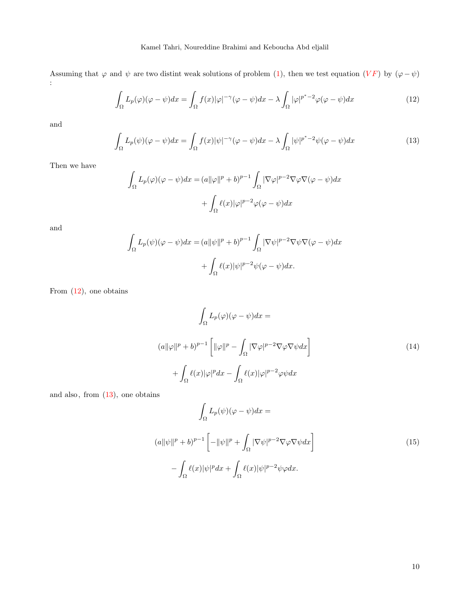<span id="page-9-0"></span>Assuming that  $\varphi$  and  $\psi$  are two distint weak solutions of problem [\(1\)](#page-4-0), then we test equation  $(VF)$  by  $(\varphi - \psi)$ :

$$
\int_{\Omega} L_p(\varphi)(\varphi - \psi) dx = \int_{\Omega} f(x)|\varphi|^{-\gamma} (\varphi - \psi) dx - \lambda \int_{\Omega} |\varphi|^{p^* - 2} \varphi(\varphi - \psi) dx \tag{12}
$$

<span id="page-9-1"></span>and

$$
\int_{\Omega} L_p(\psi)(\varphi - \psi)dx = \int_{\Omega} f(x)|\psi|^{-\gamma}(\varphi - \psi)dx - \lambda \int_{\Omega} |\psi|^{p^* - 2}\psi(\varphi - \psi)dx \tag{13}
$$

Then we have

$$
\int_{\Omega} L_p(\varphi)(\varphi - \psi) dx = (a||\varphi||^p + b)^{p-1} \int_{\Omega} |\nabla \varphi|^{p-2} \nabla \varphi \nabla (\varphi - \psi) dx
$$

$$
+ \int_{\Omega} \ell(x)|\varphi|^{p-2} \varphi(\varphi - \psi) dx
$$

and

$$
\int_{\Omega} L_p(\psi)(\varphi - \psi)dx = (a||\psi||^p + b)^{p-1} \int_{\Omega} |\nabla \psi|^{p-2} \nabla \psi \nabla (\varphi - \psi)dx
$$

$$
+ \int_{\Omega} \ell(x)|\psi|^{p-2} \psi(\varphi - \psi)dx.
$$

<span id="page-9-2"></span>From [\(12\)](#page-9-0), one obtains

$$
\int_{\Omega} L_p(\varphi)(\varphi - \psi) dx =
$$
\n
$$
(a||\varphi||^p + b)^{p-1} \left[ ||\varphi||^p - \int_{\Omega} |\nabla \varphi|^{p-2} \nabla \varphi \nabla \psi dx \right]
$$
\n
$$
+ \int_{\Omega} \ell(x)|\varphi|^p dx - \int_{\Omega} \ell(x)|\varphi|^{p-2} \varphi \psi dx
$$
\n(14)

<span id="page-9-3"></span>and also, from  $(13)$ , one obtains

$$
\int_{\Omega} L_p(\psi)(\varphi - \psi) dx =
$$
\n
$$
(a||\psi||^p + b)^{p-1} \left[ -||\psi||^p + \int_{\Omega} |\nabla \psi|^{p-2} \nabla \varphi \nabla \psi dx \right]
$$
\n
$$
- \int_{\Omega} \ell(x)|\psi|^p dx + \int_{\Omega} \ell(x)|\psi|^{p-2} \psi \varphi dx.
$$
\n(15)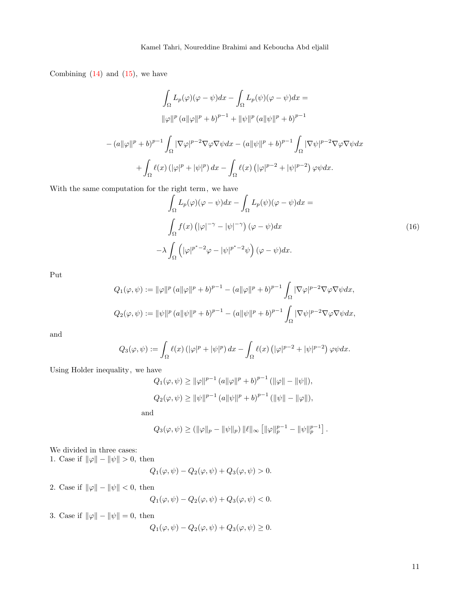Combining  $(14)$  and  $(15)$ , we have

$$
\int_{\Omega} L_p(\varphi)(\varphi - \psi) dx - \int_{\Omega} L_p(\psi)(\varphi - \psi) dx =
$$
  

$$
\|\varphi\|^p (a\|\varphi\|^p + b)^{p-1} + \|\psi\|^p (a\|\psi\|^p + b)^{p-1}
$$
  

$$
- (a\|\varphi\|^p + b)^{p-1} \int_{\Omega} |\nabla \varphi|^{p-2} \nabla \varphi \nabla \psi dx - (a\|\psi\|^p + b)^{p-1} \int_{\Omega} |\nabla \psi|^{p-2} \nabla \varphi \nabla \psi dx
$$
  

$$
+ \int_{\Omega} \ell(x) (|\varphi|^p + |\psi|^p) dx - \int_{\Omega} \ell(x) (|\varphi|^{p-2} + |\psi|^{p-2}) \varphi \psi dx.
$$

<span id="page-10-0"></span>With the same computation for the right term, we have

$$
\int_{\Omega} L_p(\varphi)(\varphi - \psi) dx - \int_{\Omega} L_p(\psi)(\varphi - \psi) dx =
$$
\n
$$
\int_{\Omega} f(x) \left( |\varphi|^{-\gamma} - |\psi|^{-\gamma} \right) (\varphi - \psi) dx
$$
\n
$$
-\lambda \int_{\Omega} \left( |\varphi|^{p^* - 2} \varphi - |\psi|^{p^* - 2} \psi \right) (\varphi - \psi) dx.
$$
\n(16)

Put

$$
Q_1(\varphi, \psi) := \|\varphi\|^p (a\|\varphi\|^p + b)^{p-1} - (a\|\varphi\|^p + b)^{p-1} \int_{\Omega} |\nabla \varphi|^{p-2} \nabla \varphi \nabla \psi dx,
$$
  

$$
Q_2(\varphi, \psi) := \|\psi\|^p (a\|\psi\|^p + b)^{p-1} - (a\|\psi\|^p + b)^{p-1} \int_{\Omega} |\nabla \psi|^{p-2} \nabla \varphi \nabla \psi dx,
$$

and

$$
Q_3(\varphi, \psi) := \int_{\Omega} \ell(x) \left( |\varphi|^p + |\psi|^p \right) dx - \int_{\Omega} \ell(x) \left( |\varphi|^{p-2} + |\psi|^{p-2} \right) \varphi \psi dx.
$$

Using Holder inequality, we have

$$
Q_1(\varphi, \psi) \ge ||\varphi||^{p-1} (a||\varphi||^p + b)^{p-1} (||\varphi|| - ||\psi||),
$$
  

$$
Q_2(\varphi, \psi) \ge ||\psi||^{p-1} (a||\psi||^p + b)^{p-1} (||\psi|| - ||\varphi||),
$$

and

$$
Q_3(\varphi, \psi) \ge (\|\varphi\|_p - \|\psi\|_p) \, \|\ell\|_\infty \left[ \|\varphi\|_p^{p-1} - \|\psi\|_p^{p-1} \right].
$$

We divided in three cases:

1. Case if  $\|\varphi\|-\|\psi\|>0,$  then

$$
Q_1(\varphi, \psi) - Q_2(\varphi, \psi) + Q_3(\varphi, \psi) > 0.
$$

2. Case if  $\|\varphi\| - \|\psi\| < 0$ , then

$$
Q_1(\varphi, \psi) - Q_2(\varphi, \psi) + Q_3(\varphi, \psi) < 0.
$$

3. Case if  $\|\varphi\| - \|\psi\| = 0$ , then

$$
Q_1(\varphi, \psi) - Q_2(\varphi, \psi) + Q_3(\varphi, \psi) \ge 0.
$$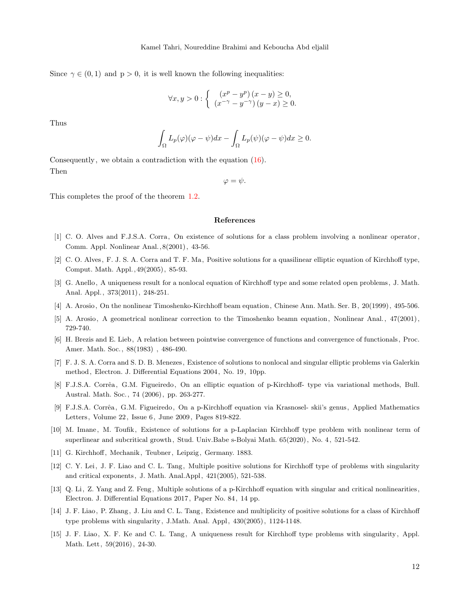Since  $\gamma \in (0,1)$  and  $p > 0$ , it is well known the following inequalities:

$$
\forall x, y > 0 : \begin{cases} (x^p - y^p)(x - y) \ge 0, \\ (x^{-\gamma} - y^{-\gamma})(y - x) \ge 0. \end{cases}
$$

Thus

$$
\int_{\Omega} L_p(\varphi)(\varphi - \psi) dx - \int_{\Omega} L_p(\psi)(\varphi - \psi) dx \ge 0.
$$

Consequently, we obtain a contradiction with the equation [\(16\)](#page-10-0). Then

 $\varphi = \psi.$ 

This completes the proof of the theorem [1](#page-2-1).2.

#### References

- <span id="page-11-3"></span>[1] C. O. Alves and F.J.S.A. Corra, On existence of solutions for a class problem involving a nonlinear operator , Comm. Appl. Nonlinear Anal.,8(2001), 43-56.
- <span id="page-11-4"></span>[2] C. O. Alves, F. J. S. A. Corra and T. F. Ma, Positive solutions for a quasilinear elliptic equation of Kirchhoff type, Comput. Math. Appl.,49(2005), 85-93.
- <span id="page-11-5"></span>[3] G. Anello, A uniqueness result for a nonlocal equation of Kirchhoff type and some related open problems , J. Math. Anal. Appl., 373(2011), 248-251.
- <span id="page-11-6"></span>[4] A. Arosio, On the nonlinear Timoshenko-Kirchhoff beam equation, Chinese Ann. Math. Ser. B, 20(1999), 495-506.
- <span id="page-11-7"></span>[5] A. Arosio, A geometrical nonlinear correction to the Timoshenko beamn equation, Nonlinear Anal., 47(2001), 729-740.
- <span id="page-11-8"></span>[6] H. Brezis and E. Lieb, A relation between pointwise convergence of functions and convergence of functionals , Proc. Amer. Math. Soc., 88(1983) , 486-490.
- <span id="page-11-2"></span>[7] F. J. S. A. Corra and S. D. B. Menezes , Existence of solutions to nonlocal and singular elliptic problems via Galerkin method, Electron. J. Differential Equations 2004, No. 19, 10pp.
- <span id="page-11-1"></span>[8] F.J.S.A. Corrêa, G.M. Figueiredo, On an elliptic equation of p-Kirchhoff- type via variational methods, Bull. Austral. Math. Soc., 74 (2006), pp. 263-277.
- <span id="page-11-14"></span>[9] F.J.S.A. Corrêa, G.M. Figueiredo, On a p-Kirchhoff equation via Krasnosel- skii's genus, Applied Mathematics Letters, Volume 22, Issue 6, June 2009, Pages 819-822.
- <span id="page-11-9"></span>[10] M. Imane, M. Toufik, Existence of solutions for a p-Laplacian Kirchhoff type problem with nonlinear term of superlinear and subcritical growth, Stud. Univ.Babe s-Bolyai Math. 65(2020), No. 4, 521-542.
- <span id="page-11-0"></span>[11] G. Kirchhoff, Mechanik, Teubner, Leipzig, Germany. 1883.
- <span id="page-11-10"></span>[12] C. Y. Lei, J. F. Liao and C. L. Tang, Multiple positive solutions for Kirchhoff type of problems with singularity and critical exponents , J. Math. Anal.Appl, 421(2005), 521-538.
- <span id="page-11-11"></span>[13] Q. Li, Z. Yang and Z. Feng, Multiple solutions of a p-Kirchhoff equation with singular and critical nonlinearities , Electron. J. Differential Equations 2017, Paper No. 84, 14 pp.
- <span id="page-11-12"></span>[14] J. F. Liao, P. Zhang, J. Liu and C. L. Tang, Existence and multiplicity of positive solutions for a class of Kirchhoff type problems with singularity, J.Math. Anal. Appl, 430(2005), 1124-1148.
- <span id="page-11-13"></span>[15] J. F. Liao, X. F. Ke and C. L. Tang, A uniqueness result for Kirchhoff type problems with singularity, Appl. Math. Lett, 59(2016), 24-30.